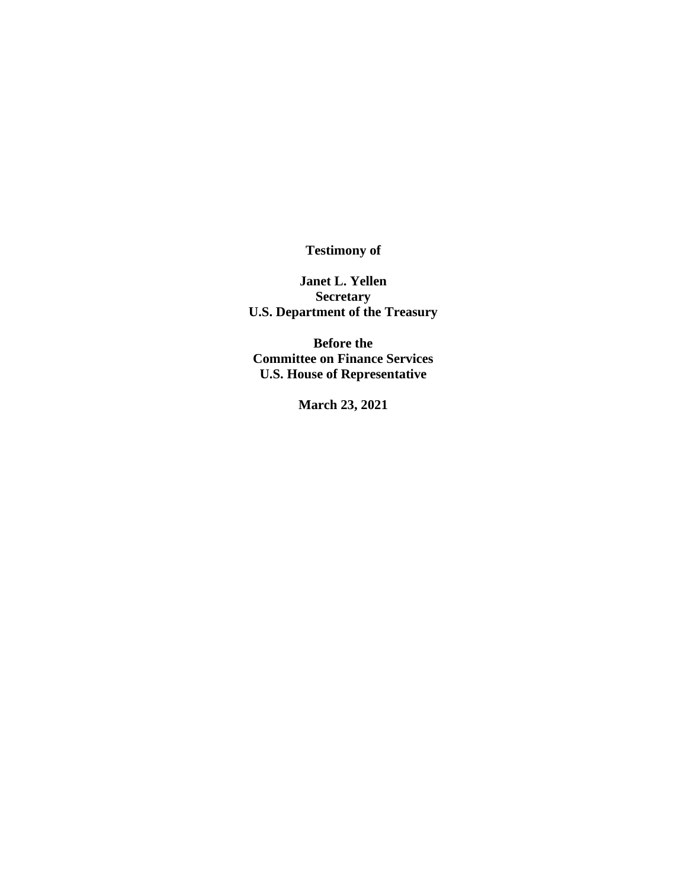**Testimony of**

**Janet L. Yellen Secretary U.S. Department of the Treasury**

**Before the Committee on Finance Services U.S. House of Representative** 

**March 23, 2021**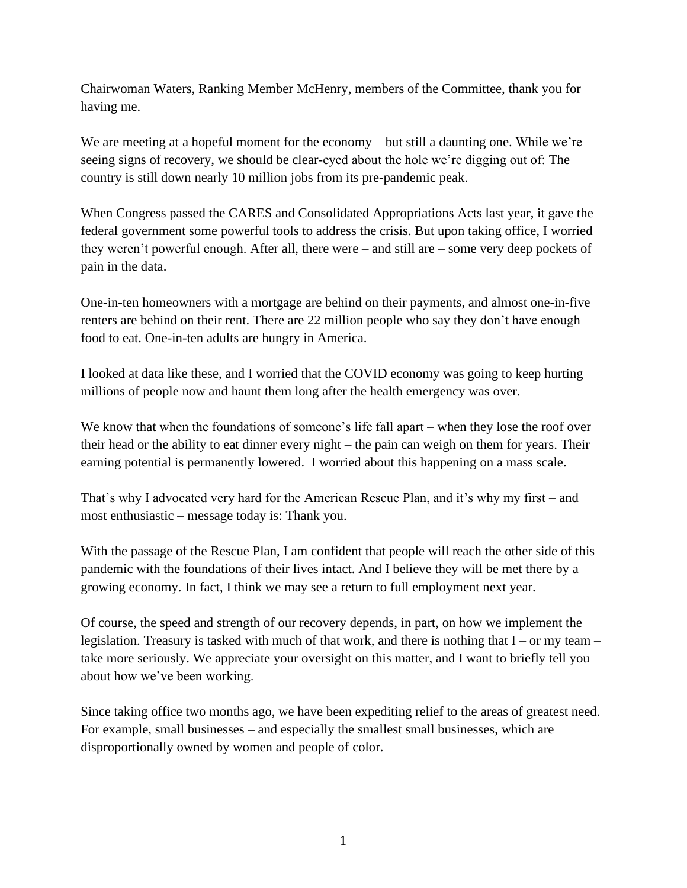Chairwoman Waters, Ranking Member McHenry, members of the Committee, thank you for having me.

We are meeting at a hopeful moment for the economy – but still a daunting one. While we're seeing signs of recovery, we should be clear-eyed about the hole we're digging out of: The country is still down nearly 10 million jobs from its pre-pandemic peak.

When Congress passed the CARES and Consolidated Appropriations Acts last year, it gave the federal government some powerful tools to address the crisis. But upon taking office, I worried they weren't powerful enough. After all, there were – and still are – some very deep pockets of pain in the data.

One-in-ten homeowners with a mortgage are behind on their payments, and almost one-in-five renters are behind on their rent. There are 22 million people who say they don't have enough food to eat. One-in-ten adults are hungry in America.

I looked at data like these, and I worried that the COVID economy was going to keep hurting millions of people now and haunt them long after the health emergency was over.

We know that when the foundations of someone's life fall apart – when they lose the roof over their head or the ability to eat dinner every night – the pain can weigh on them for years. Their earning potential is permanently lowered. I worried about this happening on a mass scale.

That's why I advocated very hard for the American Rescue Plan, and it's why my first – and most enthusiastic – message today is: Thank you.

With the passage of the Rescue Plan, I am confident that people will reach the other side of this pandemic with the foundations of their lives intact. And I believe they will be met there by a growing economy. In fact, I think we may see a return to full employment next year.

Of course, the speed and strength of our recovery depends, in part, on how we implement the legislation. Treasury is tasked with much of that work, and there is nothing that I – or my team – take more seriously. We appreciate your oversight on this matter, and I want to briefly tell you about how we've been working.

Since taking office two months ago, we have been expediting relief to the areas of greatest need. For example, small businesses – and especially the smallest small businesses, which are disproportionally owned by women and people of color.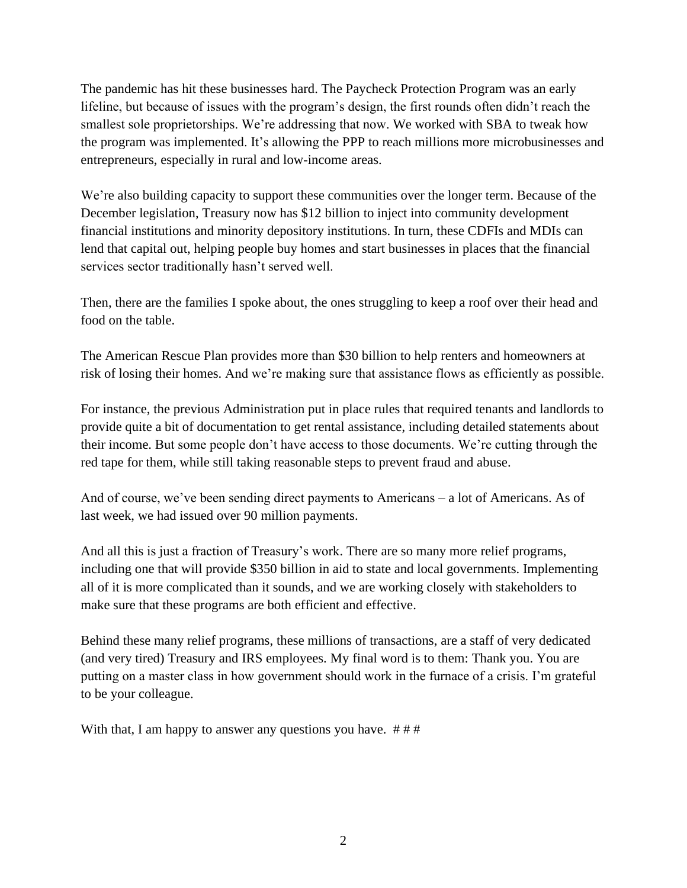The pandemic has hit these businesses hard. The Paycheck Protection Program was an early lifeline, but because of issues with the program's design, the first rounds often didn't reach the smallest sole proprietorships. We're addressing that now. We worked with SBA to tweak how the program was implemented. It's allowing the PPP to reach millions more microbusinesses and entrepreneurs, especially in rural and low-income areas.

We're also building capacity to support these communities over the longer term. Because of the December legislation, Treasury now has \$12 billion to inject into community development financial institutions and minority depository institutions. In turn, these CDFIs and MDIs can lend that capital out, helping people buy homes and start businesses in places that the financial services sector traditionally hasn't served well.

Then, there are the families I spoke about, the ones struggling to keep a roof over their head and food on the table.

The American Rescue Plan provides more than \$30 billion to help renters and homeowners at risk of losing their homes. And we're making sure that assistance flows as efficiently as possible.

For instance, the previous Administration put in place rules that required tenants and landlords to provide quite a bit of documentation to get rental assistance, including detailed statements about their income. But some people don't have access to those documents. We're cutting through the red tape for them, while still taking reasonable steps to prevent fraud and abuse.

And of course, we've been sending direct payments to Americans – a lot of Americans. As of last week, we had issued over 90 million payments.

And all this is just a fraction of Treasury's work. There are so many more relief programs, including one that will provide \$350 billion in aid to state and local governments. Implementing all of it is more complicated than it sounds, and we are working closely with stakeholders to make sure that these programs are both efficient and effective.

Behind these many relief programs, these millions of transactions, are a staff of very dedicated (and very tired) Treasury and IRS employees. My final word is to them: Thank you. You are putting on a master class in how government should work in the furnace of a crisis. I'm grateful to be your colleague.

With that, I am happy to answer any questions you have.  $###$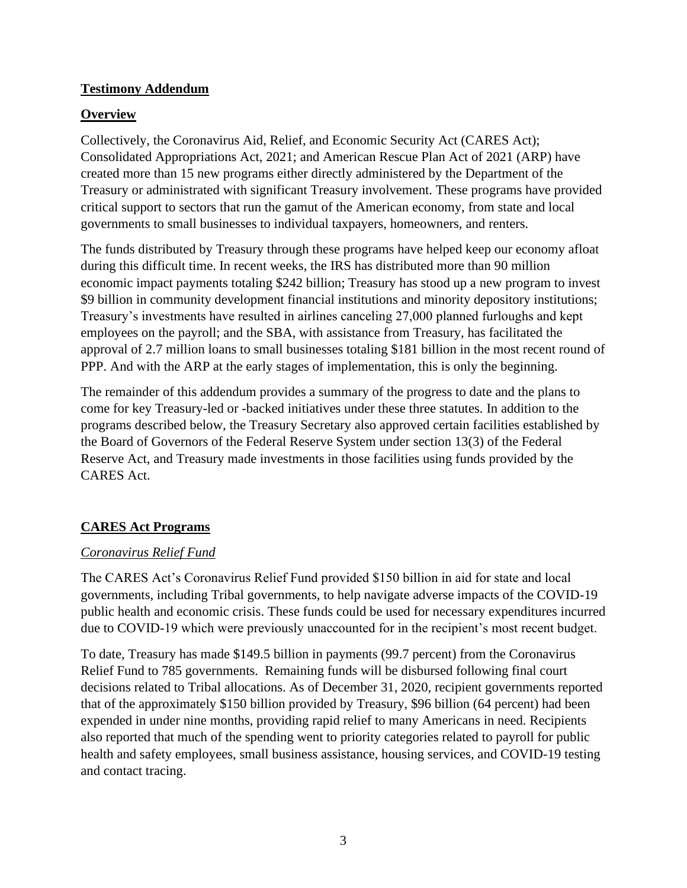#### **Testimony Addendum**

### **Overview**

Collectively, the Coronavirus Aid, Relief, and Economic Security Act (CARES Act); Consolidated Appropriations Act, 2021; and American Rescue Plan Act of 2021 (ARP) have created more than 15 new programs either directly administered by the Department of the Treasury or administrated with significant Treasury involvement. These programs have provided critical support to sectors that run the gamut of the American economy, from state and local governments to small businesses to individual taxpayers, homeowners, and renters.

The funds distributed by Treasury through these programs have helped keep our economy afloat during this difficult time. In recent weeks, the IRS has distributed more than 90 million economic impact payments totaling \$242 billion; Treasury has stood up a new program to invest \$9 billion in community development financial institutions and minority depository institutions; Treasury's investments have resulted in airlines canceling 27,000 planned furloughs and kept employees on the payroll; and the SBA, with assistance from Treasury, has facilitated the approval of 2.7 million loans to small businesses totaling \$181 billion in the most recent round of PPP. And with the ARP at the early stages of implementation, this is only the beginning.

The remainder of this addendum provides a summary of the progress to date and the plans to come for key Treasury-led or -backed initiatives under these three statutes. In addition to the programs described below, the Treasury Secretary also approved certain facilities established by the Board of Governors of the Federal Reserve System under section 13(3) of the Federal Reserve Act, and Treasury made investments in those facilities using funds provided by the CARES Act.

# **CARES Act Programs**

# *Coronavirus Relief Fund*

The CARES Act's Coronavirus Relief Fund provided \$150 billion in aid for state and local governments, including Tribal governments, to help navigate adverse impacts of the COVID-19 public health and economic crisis. These funds could be used for necessary expenditures incurred due to COVID-19 which were previously unaccounted for in the recipient's most recent budget.

To date, Treasury has made \$149.5 billion in payments (99.7 percent) from the Coronavirus Relief Fund to 785 governments. Remaining funds will be disbursed following final court decisions related to Tribal allocations. As of December 31, 2020, recipient governments reported that of the approximately \$150 billion provided by Treasury, \$96 billion (64 percent) had been expended in under nine months, providing rapid relief to many Americans in need. Recipients also reported that much of the spending went to priority categories related to payroll for public health and safety employees, small business assistance, housing services, and COVID-19 testing and contact tracing.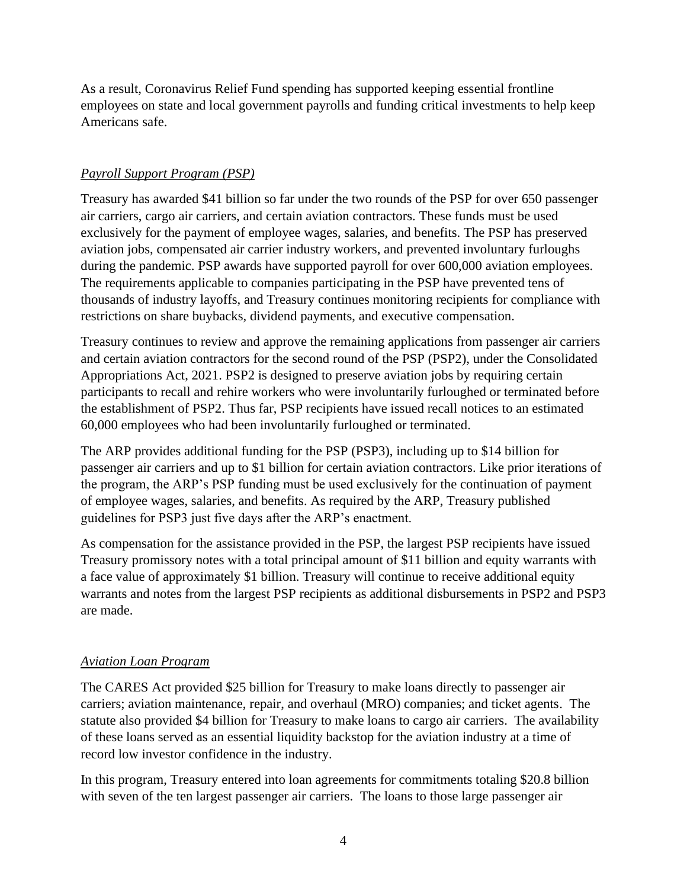As a result, Coronavirus Relief Fund spending has supported keeping essential frontline employees on state and local government payrolls and funding critical investments to help keep Americans safe.

### *Payroll Support Program (PSP)*

Treasury has awarded \$41 billion so far under the two rounds of the PSP for over 650 passenger air carriers, cargo air carriers, and certain aviation contractors. These funds must be used exclusively for the payment of employee wages, salaries, and benefits. The PSP has preserved aviation jobs, compensated air carrier industry workers, and prevented involuntary furloughs during the pandemic. PSP awards have supported payroll for over 600,000 aviation employees. The requirements applicable to companies participating in the PSP have prevented tens of thousands of industry layoffs, and Treasury continues monitoring recipients for compliance with restrictions on share buybacks, dividend payments, and executive compensation.

Treasury continues to review and approve the remaining applications from passenger air carriers and certain aviation contractors for the second round of the PSP (PSP2), under the Consolidated Appropriations Act, 2021. PSP2 is designed to preserve aviation jobs by requiring certain participants to recall and rehire workers who were involuntarily furloughed or terminated before the establishment of PSP2. Thus far, PSP recipients have issued recall notices to an estimated 60,000 employees who had been involuntarily furloughed or terminated.

The ARP provides additional funding for the PSP (PSP3), including up to \$14 billion for passenger air carriers and up to \$1 billion for certain aviation contractors. Like prior iterations of the program, the ARP's PSP funding must be used exclusively for the continuation of payment of employee wages, salaries, and benefits. As required by the ARP, Treasury published guidelines for PSP3 just five days after the ARP's enactment.

As compensation for the assistance provided in the PSP, the largest PSP recipients have issued Treasury promissory notes with a total principal amount of \$11 billion and equity warrants with a face value of approximately \$1 billion. Treasury will continue to receive additional equity warrants and notes from the largest PSP recipients as additional disbursements in PSP2 and PSP3 are made.

# *Aviation Loan Program*

The CARES Act provided \$25 billion for Treasury to make loans directly to passenger air carriers; aviation maintenance, repair, and overhaul (MRO) companies; and ticket agents. The statute also provided \$4 billion for Treasury to make loans to cargo air carriers. The availability of these loans served as an essential liquidity backstop for the aviation industry at a time of record low investor confidence in the industry.

In this program, Treasury entered into loan agreements for commitments totaling \$20.8 billion with seven of the ten largest passenger air carriers. The loans to those large passenger air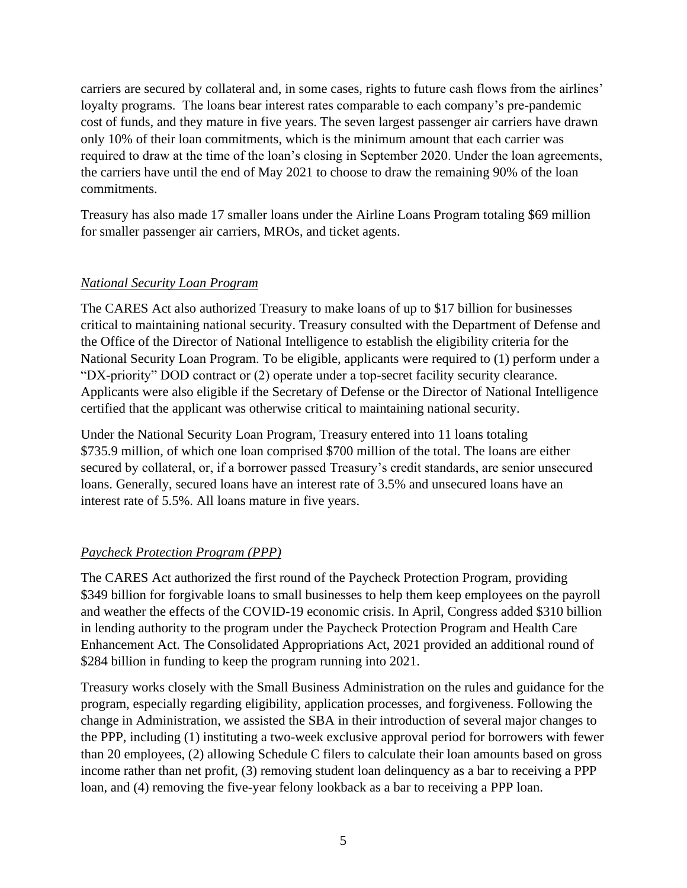carriers are secured by collateral and, in some cases, rights to future cash flows from the airlines' loyalty programs. The loans bear interest rates comparable to each company's pre-pandemic cost of funds, and they mature in five years. The seven largest passenger air carriers have drawn only 10% of their loan commitments, which is the minimum amount that each carrier was required to draw at the time of the loan's closing in September 2020. Under the loan agreements, the carriers have until the end of May 2021 to choose to draw the remaining 90% of the loan commitments.

Treasury has also made 17 smaller loans under the Airline Loans Program totaling \$69 million for smaller passenger air carriers, MROs, and ticket agents.

#### *National Security Loan Program*

The CARES Act also authorized Treasury to make loans of up to \$17 billion for businesses critical to maintaining national security. Treasury consulted with the Department of Defense and the Office of the Director of National Intelligence to establish the eligibility criteria for the National Security Loan Program. To be eligible, applicants were required to (1) perform under a "DX-priority" DOD contract or (2) operate under a top-secret facility security clearance. Applicants were also eligible if the Secretary of Defense or the Director of National Intelligence certified that the applicant was otherwise critical to maintaining national security.

Under the National Security Loan Program, Treasury entered into 11 loans totaling \$735.9 million, of which one loan comprised \$700 million of the total. The loans are either secured by collateral, or, if a borrower passed Treasury's credit standards, are senior unsecured loans. Generally, secured loans have an interest rate of 3.5% and unsecured loans have an interest rate of 5.5%. All loans mature in five years.

# *Paycheck Protection Program (PPP)*

The CARES Act authorized the first round of the Paycheck Protection Program, providing \$349 billion for forgivable loans to small businesses to help them keep employees on the payroll and weather the effects of the COVID-19 economic crisis. In April, Congress added \$310 billion in lending authority to the program under the Paycheck Protection Program and Health Care Enhancement Act. The Consolidated Appropriations Act, 2021 provided an additional round of \$284 billion in funding to keep the program running into 2021.

Treasury works closely with the Small Business Administration on the rules and guidance for the program, especially regarding eligibility, application processes, and forgiveness. Following the change in Administration, we assisted the SBA in their introduction of several major changes to the PPP, including (1) instituting a two-week exclusive approval period for borrowers with fewer than 20 employees, (2) allowing Schedule C filers to calculate their loan amounts based on gross income rather than net profit, (3) removing student loan delinquency as a bar to receiving a PPP loan, and (4) removing the five-year felony lookback as a bar to receiving a PPP loan.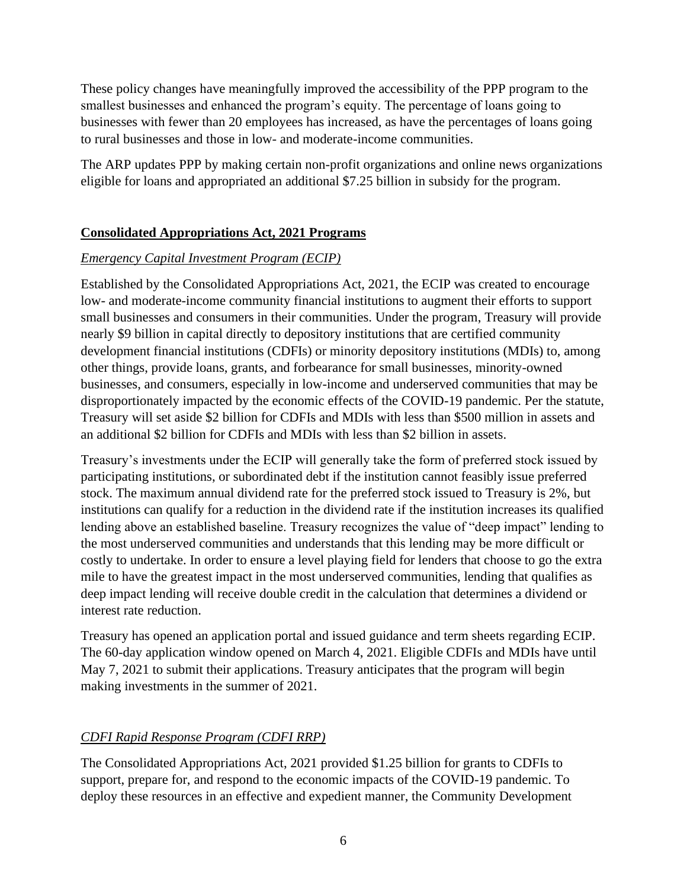These policy changes have meaningfully improved the accessibility of the PPP program to the smallest businesses and enhanced the program's equity. The percentage of loans going to businesses with fewer than 20 employees has increased, as have the percentages of loans going to rural businesses and those in low- and moderate-income communities.

The ARP updates PPP by making certain non-profit organizations and online news organizations eligible for loans and appropriated an additional \$7.25 billion in subsidy for the program.

### **Consolidated Appropriations Act, 2021 Programs**

#### *Emergency Capital Investment Program (ECIP)*

Established by the Consolidated Appropriations Act, 2021, the ECIP was created to encourage low- and moderate-income community financial institutions to augment their efforts to support small businesses and consumers in their communities. Under the program, Treasury will provide nearly \$9 billion in capital directly to depository institutions that are certified community development financial institutions (CDFIs) or minority depository institutions (MDIs) to, among other things, provide loans, grants, and forbearance for small businesses, minority-owned businesses, and consumers, especially in low-income and underserved communities that may be disproportionately impacted by the economic effects of the COVID-19 pandemic. Per the statute, Treasury will set aside \$2 billion for CDFIs and MDIs with less than \$500 million in assets and an additional \$2 billion for CDFIs and MDIs with less than \$2 billion in assets.

Treasury's investments under the ECIP will generally take the form of preferred stock issued by participating institutions, or subordinated debt if the institution cannot feasibly issue preferred stock. The maximum annual dividend rate for the preferred stock issued to Treasury is 2%, but institutions can qualify for a reduction in the dividend rate if the institution increases its qualified lending above an established baseline. Treasury recognizes the value of "deep impact" lending to the most underserved communities and understands that this lending may be more difficult or costly to undertake. In order to ensure a level playing field for lenders that choose to go the extra mile to have the greatest impact in the most underserved communities, lending that qualifies as deep impact lending will receive double credit in the calculation that determines a dividend or interest rate reduction.

Treasury has opened an application portal and issued guidance and term sheets regarding ECIP. The 60-day application window opened on March 4, 2021. Eligible CDFIs and MDIs have until May 7, 2021 to submit their applications. Treasury anticipates that the program will begin making investments in the summer of 2021.

# *CDFI Rapid Response Program (CDFI RRP)*

The Consolidated Appropriations Act, 2021 provided \$1.25 billion for grants to CDFIs to support, prepare for, and respond to the economic impacts of the COVID-19 pandemic. To deploy these resources in an effective and expedient manner, the Community Development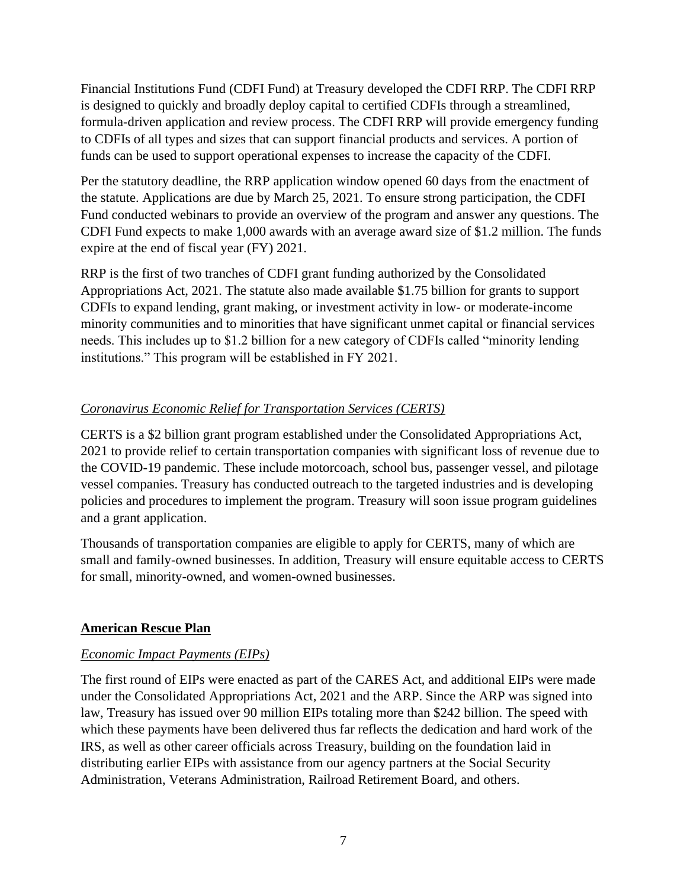Financial Institutions Fund (CDFI Fund) at Treasury developed the CDFI RRP. The CDFI RRP is designed to quickly and broadly deploy capital to certified CDFIs through a streamlined, formula-driven application and review process. The CDFI RRP will provide emergency funding to CDFIs of all types and sizes that can support financial products and services. A portion of funds can be used to support operational expenses to increase the capacity of the CDFI.

Per the statutory deadline, the RRP application window opened 60 days from the enactment of the statute. Applications are due by March 25, 2021. To ensure strong participation, the CDFI Fund conducted webinars to provide an overview of the program and answer any questions. The CDFI Fund expects to make 1,000 awards with an average award size of \$1.2 million. The funds expire at the end of fiscal year (FY) 2021.

RRP is the first of two tranches of CDFI grant funding authorized by the Consolidated Appropriations Act, 2021. The statute also made available \$1.75 billion for grants to support CDFIs to expand lending, grant making, or investment activity in low- or moderate-income minority communities and to minorities that have significant unmet capital or financial services needs. This includes up to \$1.2 billion for a new category of CDFIs called "minority lending institutions." This program will be established in FY 2021.

# *Coronavirus Economic Relief for Transportation Services (CERTS)*

CERTS is a \$2 billion grant program established under the Consolidated Appropriations Act, 2021 to provide relief to certain transportation companies with significant loss of revenue due to the COVID-19 pandemic. These include motorcoach, school bus, passenger vessel, and pilotage vessel companies. Treasury has conducted outreach to the targeted industries and is developing policies and procedures to implement the program. Treasury will soon issue program guidelines and a grant application.

Thousands of transportation companies are eligible to apply for CERTS, many of which are small and family-owned businesses. In addition, Treasury will ensure equitable access to CERTS for small, minority-owned, and women-owned businesses.

#### **American Rescue Plan**

#### *Economic Impact Payments (EIPs)*

The first round of EIPs were enacted as part of the CARES Act, and additional EIPs were made under the Consolidated Appropriations Act, 2021 and the ARP. Since the ARP was signed into law, Treasury has issued over 90 million EIPs totaling more than \$242 billion. The speed with which these payments have been delivered thus far reflects the dedication and hard work of the IRS, as well as other career officials across Treasury, building on the foundation laid in distributing earlier EIPs with assistance from our agency partners at the Social Security Administration, Veterans Administration, Railroad Retirement Board, and others.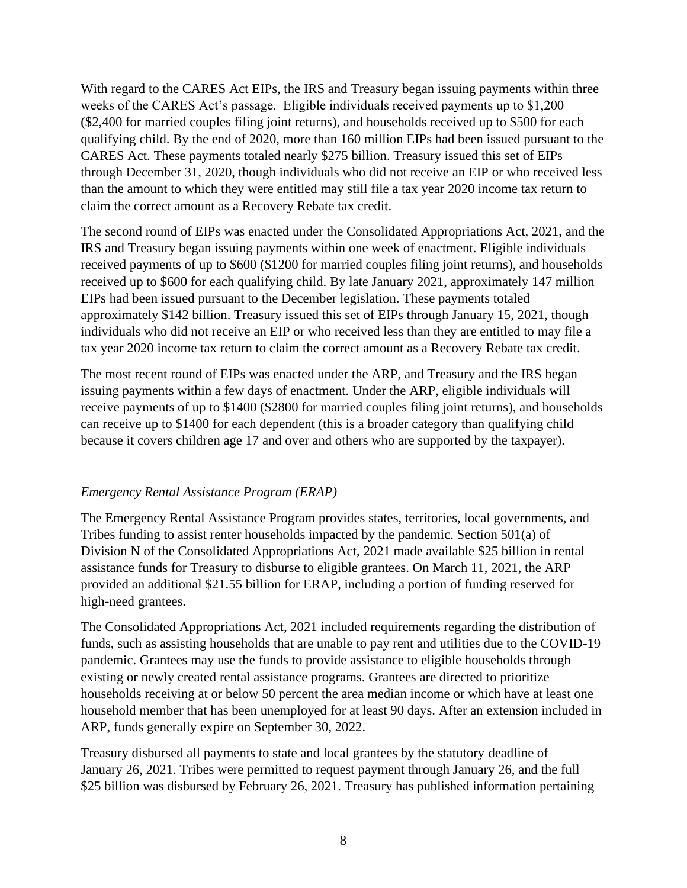With regard to the CARES Act EIPs, the IRS and Treasury began issuing payments within three weeks of the CARES Act's passage. Eligible individuals received payments up to \$1,200 (\$2,400 for married couples filing joint returns), and households received up to \$500 for each qualifying child. By the end of 2020, more than 160 million EIPs had been issued pursuant to the CARES Act. These payments totaled nearly \$275 billion. Treasury issued this set of EIPs through December 31, 2020, though individuals who did not receive an EIP or who received less than the amount to which they were entitled may still file a tax year 2020 income tax return to claim the correct amount as a Recovery Rebate tax credit.

The second round of EIPs was enacted under the Consolidated Appropriations Act, 2021, and the IRS and Treasury began issuing payments within one week of enactment. Eligible individuals received payments of up to \$600 (\$1200 for married couples filing joint returns), and households received up to \$600 for each qualifying child. By late January 2021, approximately 147 million EIPs had been issued pursuant to the December legislation. These payments totaled approximately \$142 billion. Treasury issued this set of EIPs through January 15, 2021, though individuals who did not receive an EIP or who received less than they are entitled to may file a tax year 2020 income tax return to claim the correct amount as a Recovery Rebate tax credit.

The most recent round of EIPs was enacted under the ARP, and Treasury and the IRS began issuing payments within a few days of enactment. Under the ARP, eligible individuals will receive payments of up to \$1400 (\$2800 for married couples filing joint returns), and households can receive up to \$1400 for each dependent (this is a broader category than qualifying child because it covers children age 17 and over and others who are supported by the taxpayer).

# *Emergency Rental Assistance Program (ERAP)*

The Emergency Rental Assistance Program provides states, territories, local governments, and Tribes funding to assist renter households impacted by the pandemic. Section 501(a) of Division N of the Consolidated Appropriations Act, 2021 made available \$25 billion in rental assistance funds for Treasury to disburse to eligible grantees. On March 11, 2021, the ARP provided an additional \$21.55 billion for ERAP, including a portion of funding reserved for high-need grantees.

The Consolidated Appropriations Act, 2021 included requirements regarding the distribution of funds, such as assisting households that are unable to pay rent and utilities due to the COVID-19 pandemic. Grantees may use the funds to provide assistance to eligible households through existing or newly created rental assistance programs. Grantees are directed to prioritize households receiving at or below 50 percent the area median income or which have at least one household member that has been unemployed for at least 90 days. After an extension included in ARP, funds generally expire on September 30, 2022.

Treasury disbursed all payments to state and local grantees by the statutory deadline of January 26, 2021. Tribes were permitted to request payment through January 26, and the full \$25 billion was disbursed by February 26, 2021. Treasury has published information pertaining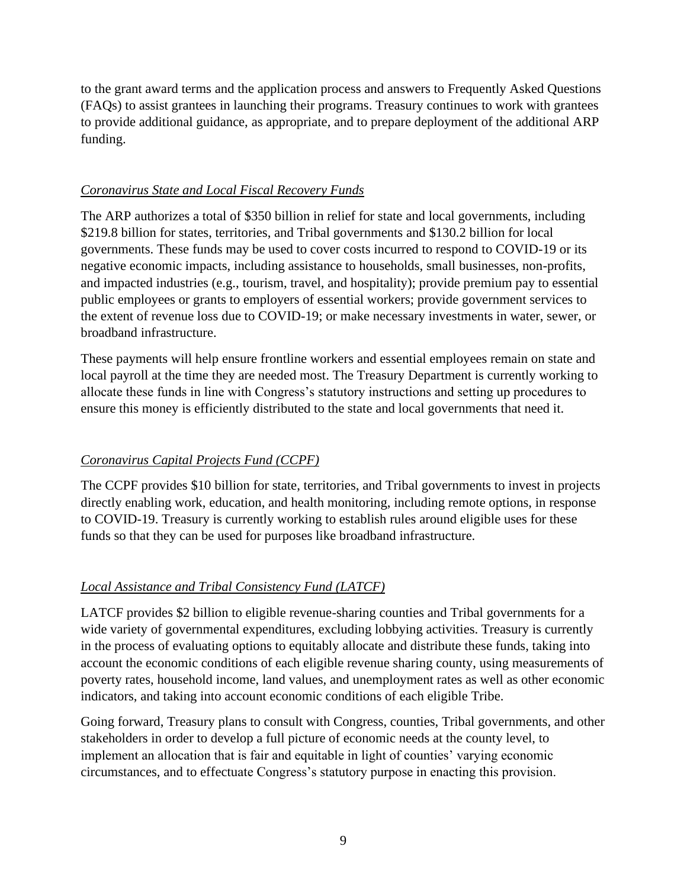to the grant award terms and the application process and answers to Frequently Asked Questions (FAQs) to assist grantees in launching their programs. Treasury continues to work with grantees to provide additional guidance, as appropriate, and to prepare deployment of the additional ARP funding.

#### *Coronavirus State and Local Fiscal Recovery Funds*

The ARP authorizes a total of \$350 billion in relief for state and local governments, including \$219.8 billion for states, territories, and Tribal governments and \$130.2 billion for local governments. These funds may be used to cover costs incurred to respond to COVID-19 or its negative economic impacts, including assistance to households, small businesses, non-profits, and impacted industries (e.g., tourism, travel, and hospitality); provide premium pay to essential public employees or grants to employers of essential workers; provide government services to the extent of revenue loss due to COVID-19; or make necessary investments in water, sewer, or broadband infrastructure.

These payments will help ensure frontline workers and essential employees remain on state and local payroll at the time they are needed most. The Treasury Department is currently working to allocate these funds in line with Congress's statutory instructions and setting up procedures to ensure this money is efficiently distributed to the state and local governments that need it.

# *Coronavirus Capital Projects Fund (CCPF)*

The CCPF provides \$10 billion for state, territories, and Tribal governments to invest in projects directly enabling work, education, and health monitoring, including remote options, in response to COVID-19. Treasury is currently working to establish rules around eligible uses for these funds so that they can be used for purposes like broadband infrastructure.

# *Local Assistance and Tribal Consistency Fund (LATCF)*

LATCF provides \$2 billion to eligible revenue-sharing counties and Tribal governments for a wide variety of governmental expenditures, excluding lobbying activities. Treasury is currently in the process of evaluating options to equitably allocate and distribute these funds, taking into account the economic conditions of each eligible revenue sharing county, using measurements of poverty rates, household income, land values, and unemployment rates as well as other economic indicators, and taking into account economic conditions of each eligible Tribe.

Going forward, Treasury plans to consult with Congress, counties, Tribal governments, and other stakeholders in order to develop a full picture of economic needs at the county level, to implement an allocation that is fair and equitable in light of counties' varying economic circumstances, and to effectuate Congress's statutory purpose in enacting this provision.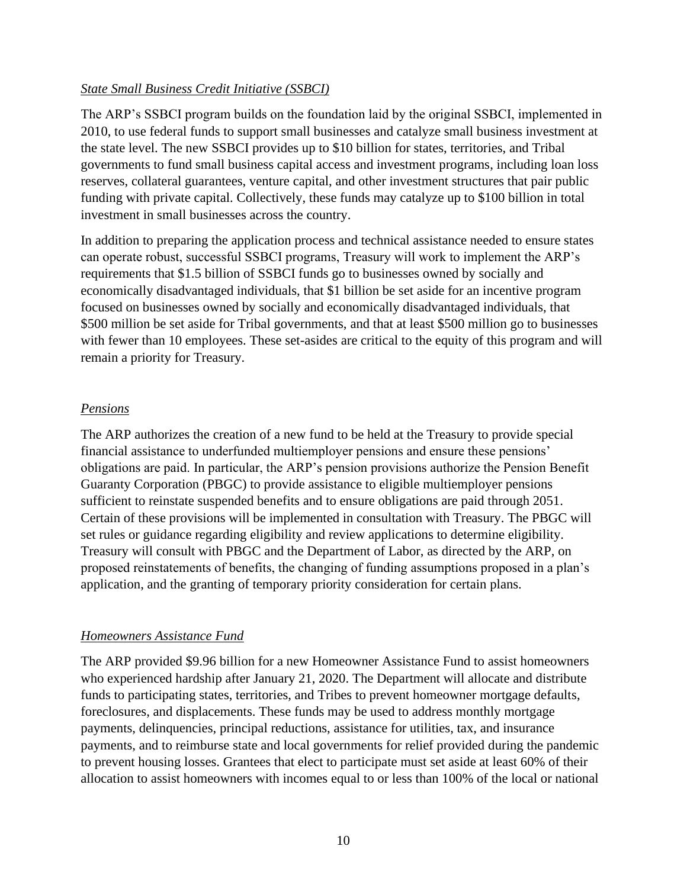#### *State Small Business Credit Initiative (SSBCI)*

The ARP's SSBCI program builds on the foundation laid by the original SSBCI, implemented in 2010, to use federal funds to support small businesses and catalyze small business investment at the state level. The new SSBCI provides up to \$10 billion for states, territories, and Tribal governments to fund small business capital access and investment programs, including loan loss reserves, collateral guarantees, venture capital, and other investment structures that pair public funding with private capital. Collectively, these funds may catalyze up to \$100 billion in total investment in small businesses across the country.

In addition to preparing the application process and technical assistance needed to ensure states can operate robust, successful SSBCI programs, Treasury will work to implement the ARP's requirements that \$1.5 billion of SSBCI funds go to businesses owned by socially and economically disadvantaged individuals, that \$1 billion be set aside for an incentive program focused on businesses owned by socially and economically disadvantaged individuals, that \$500 million be set aside for Tribal governments, and that at least \$500 million go to businesses with fewer than 10 employees. These set-asides are critical to the equity of this program and will remain a priority for Treasury.

### *Pensions*

The ARP authorizes the creation of a new fund to be held at the Treasury to provide special financial assistance to underfunded multiemployer pensions and ensure these pensions' obligations are paid. In particular, the ARP's pension provisions authorize the Pension Benefit Guaranty Corporation (PBGC) to provide assistance to eligible multiemployer pensions sufficient to reinstate suspended benefits and to ensure obligations are paid through 2051. Certain of these provisions will be implemented in consultation with Treasury. The PBGC will set rules or guidance regarding eligibility and review applications to determine eligibility. Treasury will consult with PBGC and the Department of Labor, as directed by the ARP, on proposed reinstatements of benefits, the changing of funding assumptions proposed in a plan's application, and the granting of temporary priority consideration for certain plans.

#### *Homeowners Assistance Fund*

The ARP provided \$9.96 billion for a new Homeowner Assistance Fund to assist homeowners who experienced hardship after January 21, 2020. The Department will allocate and distribute funds to participating states, territories, and Tribes to prevent homeowner mortgage defaults, foreclosures, and displacements. These funds may be used to address monthly mortgage payments, delinquencies, principal reductions, assistance for utilities, tax, and insurance payments, and to reimburse state and local governments for relief provided during the pandemic to prevent housing losses. Grantees that elect to participate must set aside at least 60% of their allocation to assist homeowners with incomes equal to or less than 100% of the local or national